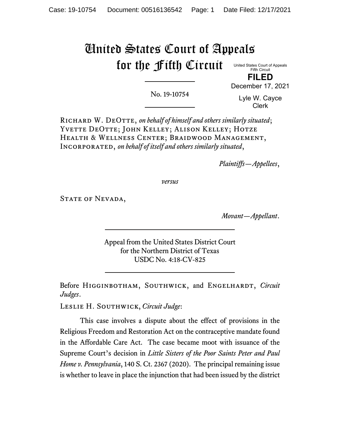# United States Court of Appeals for the Fifth Circuit

United States Court of Appeals Fifth Circuit **FILED**

No. 19-10754

Lyle W. Cayce Clerk

December 17, 2021

Richard W. DeOtte, *on behalf of himself and others similarly situated*; YVETTE DEOTTE; JOHN KELLEY; ALISON KELLEY; HOTZE Health & Wellness Center; Braidwood Management, Incorporated, *on behalf of itself and others similarly situated*,

*Plaintiffs—Appellees*,

*versus*

STATE OF NEVADA,

*Movant—Appellant*.

Appeal from the United States District Court for the Northern District of Texas USDC No. 4:18-CV-825

Before HIGGINBOTHAM, SOUTHWICK, and ENGELHARDT, *Circuit Judges*.

Leslie H. Southwick, *Circuit Judge*:

This case involves a dispute about the effect of provisions in the Religious Freedom and Restoration Act on the contraceptive mandate found in the Affordable Care Act. The case became moot with issuance of the Supreme Court's decision in *Little Sisters of the Poor Saints Peter and Paul Home v. Pennsylvania*, 140 S. Ct. 2367 (2020). The principal remaining issue is whether to leave in place the injunction that had been issued by the district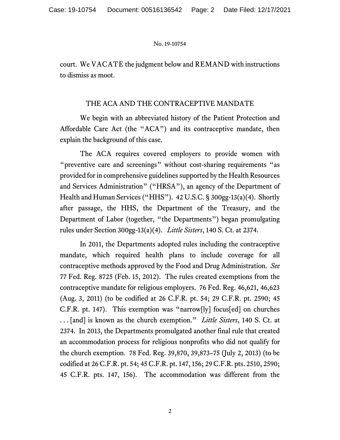court. We VACATE the judgment below and REMAND with instructions to dismiss as moot.

# THE ACA AND THE CONTRACEPTIVE MANDATE

We begin with an abbreviated history of the Patient Protection and Affordable Care Act (the "ACA") and its contraceptive mandate, then explain the background of this case.

The ACA requires covered employers to provide women with "preventive care and screenings" without cost-sharing requirements "as provided for in comprehensive guidelines supported by the Health Resources and Services Administration" ("HRSA"), an agency of the Department of Health and Human Services ("HHS"). 42 U.S.C. § 300gg-13(a)(4). Shortly after passage, the HHS, the Department of the Treasury, and the Department of Labor (together, "the Departments") began promulgating rules under Section 300gg-13(a)(4). *Little Sisters*, 140 S. Ct. at 2374.

In 2011, the Departments adopted rules including the contraceptive mandate, which required health plans to include coverage for all contraceptive methods approved by the Food and Drug Administration. *See*  77 Fed. Reg. 8725 (Feb. 15, 2012).The rules created exemptions from the contraceptive mandate for religious employers. 76 Fed. Reg. 46,621, 46,623 (Aug. 3, 2011) (to be codified at 26 C.F.R. pt. 54; 29 C.F.R. pt. 2590; 45 C.F.R. pt. 147). This exemption was "narrow[ly] focus[ed] on churches . . . [and] is known as the church exemption." *Little Sisters*, 140 S. Ct. at 2374. In 2013, the Departments promulgated another final rule that created an accommodation process for religious nonprofits who did not qualify for the church exemption. 78 Fed. Reg. 39,870, 39,873–75 (July 2, 2013) (to be codified at 26 C.F.R. pt. 54; 45 C.F.R. pt. 147, 156; 29 C.F.R. pts. 2510, 2590; 45 C.F.R. pts. 147, 156). The accommodation was different from the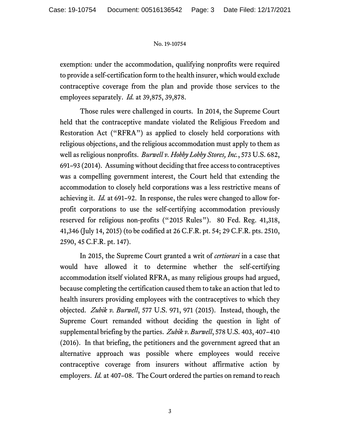exemption: under the accommodation, qualifying nonprofits were required to provide a self-certification form to the health insurer, which would exclude contraceptive coverage from the plan and provide those services to the employees separately. *Id.* at 39,875, 39,878.

Those rules were challenged in courts. In 2014, the Supreme Court held that the contraceptive mandate violated the Religious Freedom and Restoration Act ("RFRA") as applied to closely held corporations with religious objections, and the religious accommodation must apply to them as well as religious nonprofits. *Burwell v. Hobby Lobby Stores, Inc.*, 573 U.S. 682, 691–93 (2014). Assuming without deciding that free access to contraceptives was a compelling government interest, the Court held that extending the accommodation to closely held corporations was a less restrictive means of achieving it. *Id.* at 691–92. In response, the rules were changed to allow forprofit corporations to use the self-certifying accommodation previously reserved for religious non-profits ("2015 Rules"). 80 Fed. Reg. 41,318, 41,346 (July 14, 2015) (to be codified at 26 C.F.R. pt. 54; 29 C.F.R. pts. 2510, 2590, 45 C.F.R. pt. 147).

In 2015, the Supreme Court granted a writ of *certiorari* in a case that would have allowed it to determine whether the self-certifying accommodation itself violated RFRA, as many religious groups had argued, because completing the certification caused them to take an action that led to health insurers providing employees with the contraceptives to which they objected. *Zubik v. Burwell*, 577 U.S. 971, 971 (2015). Instead, though, the Supreme Court remanded without deciding the question in light of supplemental briefing by the parties. *Zubik v. Burwell*, 578 U.S. 403, 407–410 (2016). In that briefing, the petitioners and the government agreed that an alternative approach was possible where employees would receive contraceptive coverage from insurers without affirmative action by employers. *Id.* at 407–08. The Court ordered the parties on remand to reach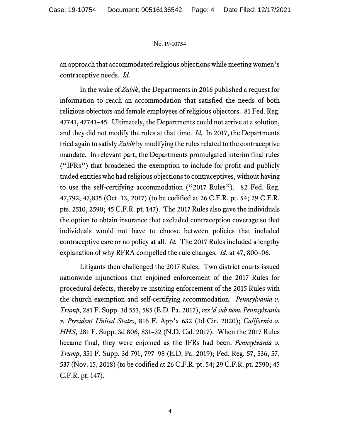an approach that accommodated religious objections while meeting women's contraceptive needs. *Id.*

In the wake of *Zubik*, the Departments in 2016 published a request for information to reach an accommodation that satisfied the needs of both religious objectors and female employees of religious objectors. 81 Fed. Reg. 47741, 47741–45. Ultimately, the Departments could not arrive at a solution, and they did not modify the rules at that time. *Id.* In 2017, the Departments tried again to satisfy *Zubik* by modifying the rules related to the contraceptive mandate. In relevant part, the Departments promulgated interim final rules ("IFRs") that broadened the exemption to include for-profit and publicly traded entities who had religious objections to contraceptives, without having to use the self-certifying accommodation ("2017 Rules"). 82 Fed. Reg. 47,792, 47,835 (Oct. 13, 2017) (to be codified at 26 C.F.R. pt. 54; 29 C.F.R. pts. 2510, 2590; 45 C.F.R. pt. 147). The 2017 Rules also gave the individuals the option to obtain insurance that excluded contraception coverage so that individuals would not have to choose between policies that included contraceptive care or no policy at all. *Id.* The 2017 Rules included a lengthy explanation of why RFRA compelled the rule changes. *Id.* at 47, 800–06.

Litigants then challenged the 2017 Rules. Two district courts issued nationwide injunctions that enjoined enforcement of the 2017 Rules for procedural defects, thereby re-instating enforcement of the 2015 Rules with the church exemption and self-certifying accommodation. *Pennsylvania v. Trump*, 281 F. Supp. 3d 553, 585 (E.D. Pa. 2017), *rev'd sub nom. Pennsylvania v. President United States*, 816 F. App'x 632 (3d Cir. 2020); *California v. HHS*, 281 F. Supp. 3d 806, 831–32 (N.D. Cal. 2017). When the 2017 Rules became final, they were enjoined as the IFRs had been. *Pennsylvania v. Trump*, 351 F. Supp. 3d 791, 797–98 (E.D. Pa. 2019); Fed. Reg. 57, 536, 57, 537 (Nov. 15, 2018) (to be codified at 26 C.F.R. pt. 54; 29 C.F.R. pt. 2590; 45 C.F.R. pt. 147).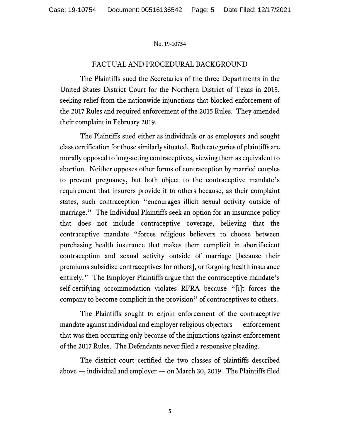## FACTUAL AND PROCEDURAL BACKGROUND

The Plaintiffs sued the Secretaries of the three Departments in the United States District Court for the Northern District of Texas in 2018, seeking relief from the nationwide injunctions that blocked enforcement of the 2017 Rules and required enforcement of the 2015 Rules. They amended their complaint in February 2019.

The Plaintiffs sued either as individuals or as employers and sought class certification for those similarly situated. Both categories of plaintiffs are morally opposed to long-acting contraceptives, viewing them as equivalent to abortion. Neither opposes other forms of contraception by married couples to prevent pregnancy, but both object to the contraceptive mandate's requirement that insurers provide it to others because, as their complaint states, such contraception "encourages illicit sexual activity outside of marriage." The Individual Plaintiffs seek an option for an insurance policy that does not include contraceptive coverage, believing that the contraceptive mandate "forces religious believers to choose between purchasing health insurance that makes them complicit in abortifacient contraception and sexual activity outside of marriage [because their premiums subsidize contraceptives for others], or forgoing health insurance entirely." The Employer Plaintiffs argue that the contraceptive mandate's self-certifying accommodation violates RFRA because "[i]t forces the company to become complicit in the provision" of contraceptives to others.

The Plaintiffs sought to enjoin enforcement of the contraceptive mandate against individual and employer religious objectors — enforcement that was then occurring only because of the injunctions against enforcement of the 2017 Rules. The Defendants never filed a responsive pleading.

The district court certified the two classes of plaintiffs described above — individual and employer — on March 30, 2019. The Plaintiffs filed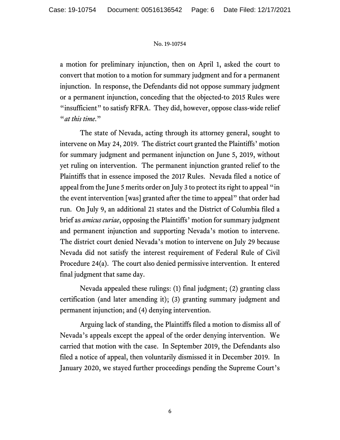a motion for preliminary injunction, then on April 1, asked the court to convert that motion to a motion for summary judgment and for a permanent injunction. In response, the Defendants did not oppose summary judgment or a permanent injunction, conceding that the objected-to 2015 Rules were "insufficient" to satisfy RFRA. They did, however, oppose class-wide relief "*at this time*."

The state of Nevada, acting through its attorney general, sought to intervene on May 24, 2019. The district court granted the Plaintiffs' motion for summary judgment and permanent injunction on June 5, 2019, without yet ruling on intervention. The permanent injunction granted relief to the Plaintiffs that in essence imposed the 2017 Rules. Nevada filed a notice of appeal from the June 5 merits order on July 3 to protect its right to appeal "in the event intervention [was] granted after the time to appeal" that order had run. On July 9, an additional 21 states and the District of Columbia filed a brief as *amicus curiae*, opposing the Plaintiffs' motion for summary judgment and permanent injunction and supporting Nevada's motion to intervene. The district court denied Nevada's motion to intervene on July 29 because Nevada did not satisfy the interest requirement of Federal Rule of Civil Procedure 24(a). The court also denied permissive intervention. It entered final judgment that same day.

Nevada appealed these rulings: (1) final judgment; (2) granting class certification (and later amending it); (3) granting summary judgment and permanent injunction; and (4) denying intervention.

Arguing lack of standing, the Plaintiffs filed a motion to dismiss all of Nevada's appeals except the appeal of the order denying intervention. We carried that motion with the case. In September 2019, the Defendants also filed a notice of appeal, then voluntarily dismissed it in December 2019. In January 2020, we stayed further proceedings pending the Supreme Court's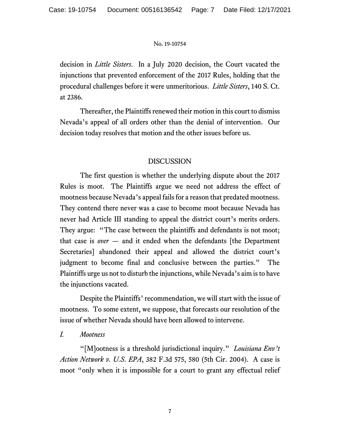decision in *Little Sisters*. In a July 2020 decision, the Court vacated the injunctions that prevented enforcement of the 2017 Rules, holding that the procedural challenges before it were unmeritorious. *Little Sisters*, 140 S. Ct. at 2386.

Thereafter, the Plaintiffs renewed their motion in this court to dismiss Nevada's appeal of all orders other than the denial of intervention. Our decision today resolves that motion and the other issues before us.

# DISCUSSION

The first question is whether the underlying dispute about the 2017 Rules is moot. The Plaintiffs argue we need not address the effect of mootness because Nevada's appeal fails for a reason that predated mootness. They contend there never was a case to become moot because Nevada has never had Article III standing to appeal the district court's merits orders. They argue: "The case between the plaintiffs and defendants is not moot; that case is *over* — and it ended when the defendants [the Department Secretaries] abandoned their appeal and allowed the district court's judgment to become final and conclusive between the parties." The Plaintiffs urge us not to disturb the injunctions, while Nevada's aim is to have the injunctions vacated.

Despite the Plaintiffs' recommendation, we will start with the issue of mootness. To some extent, we suppose, that forecasts our resolution of the issue of whether Nevada should have been allowed to intervene.

# *I. Mootness*

"[M]ootness is a threshold jurisdictional inquiry." *Louisiana Env't Action Network v. U.S. EPA*, 382 F.3d 575, 580 (5th Cir. 2004). A case is moot "only when it is impossible for a court to grant any effectual relief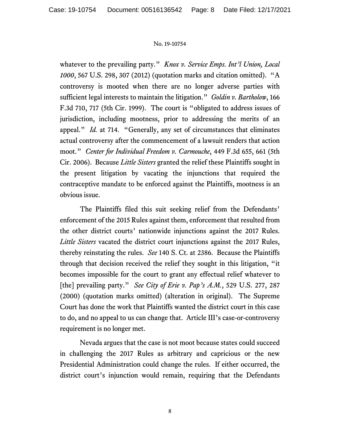whatever to the prevailing party." *Knox v. Service Emps. Int'l Union, Local 1000*, 567 U.S. 298, 307 (2012) (quotation marks and citation omitted). "A controversy is mooted when there are no longer adverse parties with sufficient legal interests to maintain the litigation." *Goldin v. Bartholow*, 166 F.3d 710, 717 (5th Cir. 1999). The court is "obligated to address issues of jurisdiction, including mootness, prior to addressing the merits of an appeal." *Id.* at 714. "Generally, any set of circumstances that eliminates actual controversy after the commencement of a lawsuit renders that action moot." *Center for Individual Freedom v. Carmouche*, 449 F.3d 655, 661 (5th Cir. 2006). Because *Little Sisters* granted the relief these Plaintiffs sought in the present litigation by vacating the injunctions that required the contraceptive mandate to be enforced against the Plaintiffs, mootness is an obvious issue.

The Plaintiffs filed this suit seeking relief from the Defendants' enforcement of the 2015 Rules against them, enforcement that resulted from the other district courts' nationwide injunctions against the 2017 Rules. *Little Sisters* vacated the district court injunctions against the 2017 Rules, thereby reinstating the rules. *See* 140 S. Ct. at 2386. Because the Plaintiffs through that decision received the relief they sought in this litigation, "it becomes impossible for the court to grant any effectual relief whatever to [the] prevailing party." *See City of Erie v. Pap's A.M.*, 529 U.S. 277, 287 (2000) (quotation marks omitted) (alteration in original). The Supreme Court has done the work that Plaintiffs wanted the district court in this case to do, and no appeal to us can change that. Article III's case-or-controversy requirement is no longer met.

Nevada argues that the case is not moot because states could succeed in challenging the 2017 Rules as arbitrary and capricious or the new Presidential Administration could change the rules. If either occurred, the district court's injunction would remain, requiring that the Defendants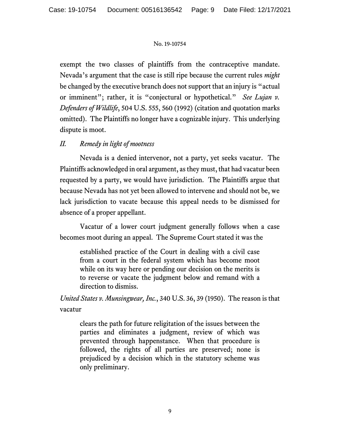exempt the two classes of plaintiffs from the contraceptive mandate. Nevada's argument that the case is still ripe because the current rules *might* be changed by the executive branch does not support that an injury is "actual or imminent"; rather, it is "conjectural or hypothetical." *See Lujan v. Defenders of Wildlife*, 504 U.S. 555, 560 (1992) (citation and quotation marks omitted). The Plaintiffs no longer have a cognizable injury. This underlying dispute is moot.

# *II. Remedy in light of mootness*

Nevada is a denied intervenor, not a party, yet seeks vacatur. The Plaintiffs acknowledged in oral argument, as they must, that had vacatur been requested by a party, we would have jurisdiction. The Plaintiffs argue that because Nevada has not yet been allowed to intervene and should not be, we lack jurisdiction to vacate because this appeal needs to be dismissed for absence of a proper appellant.

Vacatur of a lower court judgment generally follows when a case becomes moot during an appeal. The Supreme Court stated it was the

established practice of the Court in dealing with a civil case from a court in the federal system which has become moot while on its way here or pending our decision on the merits is to reverse or vacate the judgment below and remand with a direction to dismiss.

*United States v. Munsingwear, Inc.*, 340 U.S. 36, 39 (1950). The reason is that vacatur

clears the path for future religitation of the issues between the parties and eliminates a judgment, review of which was prevented through happenstance. When that procedure is followed, the rights of all parties are preserved; none is prejudiced by a decision which in the statutory scheme was only preliminary.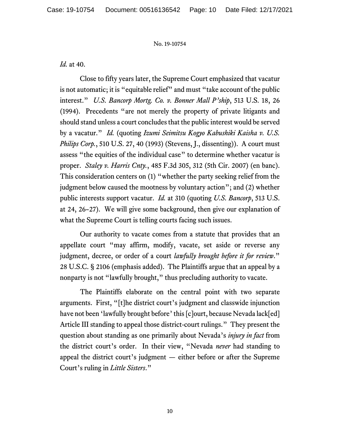*Id.* at 40.

Close to fifty years later, the Supreme Court emphasized that vacatur is not automatic; it is "equitable relief" and must "take account of the public interest." *U.S. Bancorp Mortg. Co. v. Bonner Mall P'ship*, 513 U.S. 18, 26 (1994). Precedents "are not merely the property of private litigants and should stand unless a court concludes that the public interest would be served by a vacatur." *Id.* (quoting *Izumi Seimitsu Kogyo Kabushiki Kaisha v. U.S. Philips Corp.*, 510 U.S. 27, 40 (1993) (Stevens, J., dissenting)). A court must assess "the equities of the individual case" to determine whether vacatur is proper. *Staley v. Harris Cnty.*, 485 F.3d 305, 312 (5th Cir. 2007) (en banc). This consideration centers on (1) "whether the party seeking relief from the judgment below caused the mootness by voluntary action"; and (2) whether public interests support vacatur. *Id.* at 310 (quoting *U.S. Bancorp*, 513 U.S. at 24, 26–27). We will give some background, then give our explanation of what the Supreme Court is telling courts facing such issues.

Our authority to vacate comes from a statute that provides that an appellate court "may affirm, modify, vacate, set aside or reverse any judgment, decree, or order of a court *lawfully brought before it for review*." 28 U.S.C. § 2106 (emphasis added). The Plaintiffs argue that an appeal by a nonparty is not "lawfully brought," thus precluding authority to vacate.

The Plaintiffs elaborate on the central point with two separate arguments. First, "[t]he district court's judgment and classwide injunction have not been 'lawfully brought before' this [c]ourt, because Nevada lack[ed] Article III standing to appeal those district-court rulings." They present the question about standing as one primarily about Nevada's *injury in fact* from the district court's order. In their view, "Nevada *never* had standing to appeal the district court's judgment — either before or after the Supreme Court's ruling in *Little Sisters*."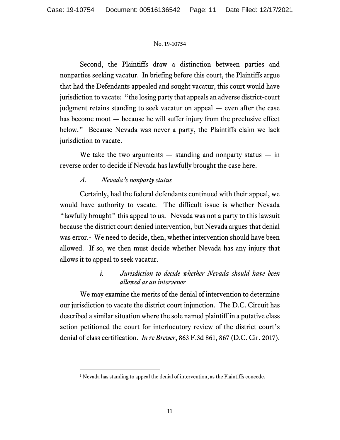Second, the Plaintiffs draw a distinction between parties and nonparties seeking vacatur. In briefing before this court, the Plaintiffs argue that had the Defendants appealed and sought vacatur, this court would have jurisdiction to vacate: "the losing party that appeals an adverse district-court judgment retains standing to seek vacatur on appeal — even after the case has become moot — because he will suffer injury from the preclusive effect below." Because Nevada was never a party, the Plaintiffs claim we lack jurisdiction to vacate.

We take the two arguments  $-$  standing and nonparty status  $-$  in reverse order to decide if Nevada has lawfully brought the case here.

# *A. Nevada's nonparty status*

Certainly, had the federal defendants continued with their appeal, we would have authority to vacate. The difficult issue is whether Nevada "lawfully brought" this appeal to us. Nevada was not a party to this lawsuit because the district court denied intervention, but Nevada argues that denial was error.<sup>[1](#page-10-0)</sup> We need to decide, then, whether intervention should have been allowed. If so, we then must decide whether Nevada has any injury that allows it to appeal to seek vacatur.

# *i. Jurisdiction to decide whether Nevada should have been allowed as an intervenor*

We may examine the merits of the denial of intervention to determine our jurisdiction to vacate the district court injunction. The D.C. Circuit has described a similar situation where the sole named plaintiff in a putative class action petitioned the court for interlocutory review of the district court's denial of class certification. *In re Brewer*, 863 F.3d 861, 867 (D.C. Cir. 2017).

<span id="page-10-0"></span><sup>&</sup>lt;sup>1</sup> Nevada has standing to appeal the denial of intervention, as the Plaintiffs concede.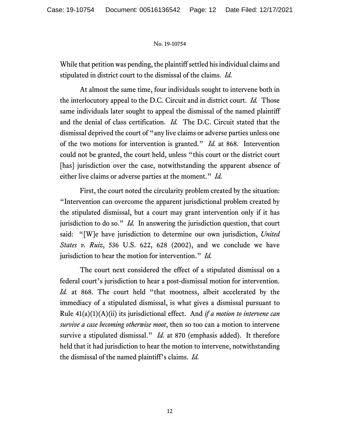While that petition was pending, the plaintiff settled his individual claims and stipulated in district court to the dismissal of the claims. *Id.*

At almost the same time, four individuals sought to intervene both in the interlocutory appeal to the D.C. Circuit and in district court. *Id.* Those same individuals later sought to appeal the dismissal of the named plaintiff and the denial of class certification. *Id.* The D.C. Circuit stated that the dismissal deprived the court of "any live claims or adverse parties unless one of the two motions for intervention is granted." *Id.* at 868. Intervention could not be granted, the court held, unless "this court or the district court [has] jurisdiction over the case, notwithstanding the apparent absence of either live claims or adverse parties at the moment." *Id.* 

First, the court noted the circularity problem created by the situation: "Intervention can overcome the apparent jurisdictional problem created by the stipulated dismissal, but a court may grant intervention only if it has jurisdiction to do so." *Id.* In answering the jurisdiction question, that court said: "[W]e have jurisdiction to determine our own jurisdiction, *United States v. Ruiz*, 536 U.S. 622, 628 (2002), and we conclude we have jurisdiction to hear the motion for intervention." *Id.*

The court next considered the effect of a stipulated dismissal on a federal court's jurisdiction to hear a post-dismissal motion for intervention. *Id.* at 868. The court held "that mootness, albeit accelerated by the immediacy of a stipulated dismissal, is what gives a dismissal pursuant to Rule 41(a)(1)(A)(ii) its jurisdictional effect. And *if a motion to intervene can survive a case becoming otherwise moot*, then so too can a motion to intervene survive a stipulated dismissal." *Id.* at 870 (emphasis added). It therefore held that it had jurisdiction to hear the motion to intervene, notwithstanding the dismissal of the named plaintiff's claims. *Id.*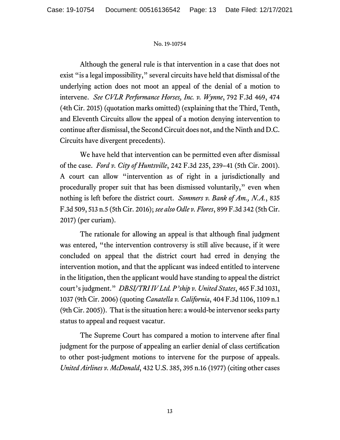Although the general rule is that intervention in a case that does not exist "is a legal impossibility," several circuits have held that dismissal of the underlying action does not moot an appeal of the denial of a motion to intervene. *See CVLR Performance Horses, Inc. v. Wynne*, 792 F.3d 469, 474 (4th Cir. 2015) (quotation marks omitted) (explaining that the Third, Tenth, and Eleventh Circuits allow the appeal of a motion denying intervention to continue after dismissal, the Second Circuit does not, and the Ninth and D.C. Circuits have divergent precedents).

We have held that intervention can be permitted even after dismissal of the case. *Ford v. City of Huntsville*, 242 F.3d 235, 239–41 (5th Cir. 2001). A court can allow "intervention as of right in a jurisdictionally and procedurally proper suit that has been dismissed voluntarily," even when nothing is left before the district court. *Sommers v. Bank of Am., N.A.*, 835 F.3d 509, 513 n.5 (5th Cir. 2016); *see also Odle v. Flores*, 899 F.3d 342 (5th Cir. 2017) (per curiam).

The rationale for allowing an appeal is that although final judgment was entered, "the intervention controversy is still alive because, if it were concluded on appeal that the district court had erred in denying the intervention motion, and that the applicant was indeed entitled to intervene in the litigation, then the applicant would have standing to appeal the district court's judgment." *DBSI/TRI IV Ltd. P'ship v. United States*, 465 F.3d 1031, 1037 (9th Cir. 2006) (quoting *Canatella v. California*, 404 F.3d 1106, 1109 n.1 (9th Cir. 2005)). That is the situation here: a would-be intervenor seeks party status to appeal and request vacatur.

The Supreme Court has compared a motion to intervene after final judgment for the purpose of appealing an earlier denial of class certification to other post-judgment motions to intervene for the purpose of appeals. *United Airlines v. McDonald*, 432 U.S. 385, 395 n.16 (1977) (citing other cases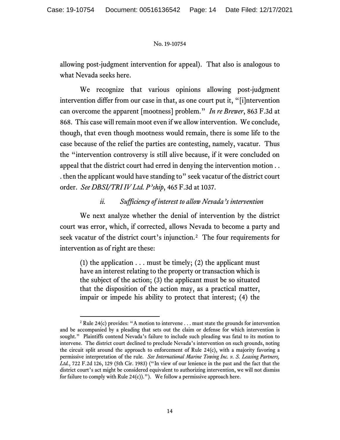allowing post-judgment intervention for appeal). That also is analogous to what Nevada seeks here.

We recognize that various opinions allowing post-judgment intervention differ from our case in that, as one court put it, "[i]ntervention can overcome the apparent [mootness] problem." *In re Brewer*, 863 F.3d at 868. This case will remain moot even if we allow intervention. We conclude, though, that even though mootness would remain, there is some life to the case because of the relief the parties are contesting, namely, vacatur. Thus the "intervention controversy is still alive because, if it were concluded on appeal that the district court had erred in denying the intervention motion . . . then the applicant would have standing to" seek vacatur of the district court order. *See DBSI/TRI IV Ltd. P'ship*, 465 F.3d at 1037.

# *ii. Sufficiency of interest to allow Nevada's intervention*

We next analyze whether the denial of intervention by the district court was error, which, if corrected, allows Nevada to become a party and seek vacatur of the district court's injunction. [2](#page-13-0) The four requirements for intervention as of right are these:

(1) the application  $\dots$  must be timely; (2) the applicant must have an interest relating to the property or transaction which is the subject of the action; (3) the applicant must be so situated that the disposition of the action may, as a practical matter, impair or impede his ability to protect that interest; (4) the

<span id="page-13-0"></span><sup>2</sup> Rule 24(c) provides: "A motion to intervene . . . must state the grounds for intervention and be accompanied by a pleading that sets out the claim or defense for which intervention is sought." Plaintiffs contend Nevada's failure to include such pleading was fatal to its motion to intervene. The district court declined to preclude Nevada's intervention on such grounds, noting the circuit split around the approach to enforcement of Rule  $24(c)$ , with a majority favoring a permissive interpretation of the rule. *See International Marine Towing Inc. v. S. Leasing Partners, Ltd.*, 722 F.2d 126, 129 (5th Cir. 1983) ("In view of our lenience in the past and the fact that the district court's act might be considered equivalent to authorizing intervention, we will not dismiss for failure to comply with Rule  $24(c)$ ."). We follow a permissive approach here.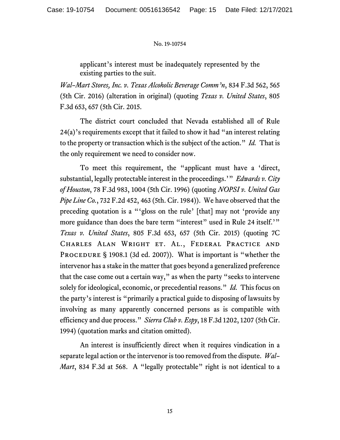applicant's interest must be inadequately represented by the existing parties to the suit.

*Wal–Mart Stores, Inc. v. Texas Alcoholic Beverage Comm'n*, 834 F.3d 562, 565 (5th Cir. 2016) (alteration in original) (quoting *Texas v. United States*, 805 F.3d 653, 657 (5th Cir. 2015.

The district court concluded that Nevada established all of Rule 24(a)'s requirements except that it failed to show it had "an interest relating to the property or transaction which is the subject of the action." *Id.*That is the only requirement we need to consider now.

To meet this requirement, the "applicant must have a 'direct, substantial, legally protectable interest in the proceedings.'" *Edwards v. City of Houston*, 78 F.3d 983, 1004 (5th Cir. 1996) (quoting *NOPSI v. United Gas Pipe Line Co.*, 732 F.2d 452, 463 (5th. Cir. 1984)). We have observed that the preceding quotation is a "'gloss on the rule' [that] may not 'provide any more guidance than does the bare term "interest" used in Rule 24 itself.'" *Texas v. United States*, 805 F.3d 653, 657 (5th Cir. 2015) (quoting 7C Charles Alan Wright et. Al., Federal Practice and PROCEDURE § 1908.1 (3d ed. 2007)). What is important is "whether the intervenor has a stake in the matter that goes beyond a generalized preference that the case come out a certain way," as when the party "seeks to intervene solely for ideological, economic, or precedential reasons." *Id.* This focus on the party's interest is "primarily a practical guide to disposing of lawsuits by involving as many apparently concerned persons as is compatible with efficiency and due process." *Sierra Club v. Espy*, 18 F.3d 1202, 1207 (5th Cir. 1994) (quotation marks and citation omitted).

An interest is insufficiently direct when it requires vindication in a separate legal action or the intervenor is too removed from the dispute. *Wal– Mart*, 834 F.3d at 568. A "legally protectable" right is not identical to a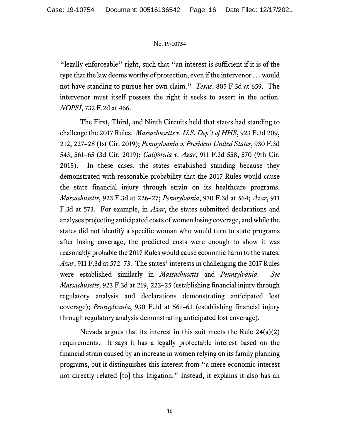"legally enforceable" right, such that "an interest is sufficient if it is of the type that the law deems worthy of protection, even if the intervenor . . . would not have standing to pursue her own claim." *Texas*, 805 F.3d at 659. The intervenor must itself possess the right it seeks to assert in the action. *NOPSI*, 732 F.2d at 466.

The First, Third, and Ninth Circuits held that states had standing to challenge the 2017 Rules. *Massachusetts v. U.S. Dep't of HHS*, 923 F.3d 209, 212, 227–28 (1st Cir. 2019); *Pennsylvania v. President United States*, 930 F.3d 543, 561–65 (3d Cir. 2019); *California v. Azar*, 911 F.3d 558, 570 (9th Cir. 2018). In these cases, the states established standing because they demonstrated with reasonable probability that the 2017 Rules would cause the state financial injury through strain on its healthcare programs. *Massachusetts*, 923 F.3d at 226–27; *Pennsylvania*, 930 F.3d at 564; *Azar*, 911 F.3d at 573. For example, in *Azar*, the states submitted declarations and analyses projecting anticipated costs of women losing coverage, and while the states did not identify a specific woman who would turn to state programs after losing coverage, the predicted costs were enough to show it was reasonably probable the 2017 Rules would cause economic harm to the states. *Azar*, 911 F.3d at 572–73. The states' interests in challenging the 2017 Rules were established similarly in *Massachusetts* and *Pennsylvania*. *See Massachusetts*, 923 F.3d at 219, 223–25 (establishing financial injury through regulatory analysis and declarations demonstrating anticipated lost coverage); *Pennsylvania*, 930 F.3d at 561–63 (establishing financial injury through regulatory analysis demonstrating anticipated lost coverage).

Nevada argues that its interest in this suit meets the Rule 24(a)(2) requirements. It says it has a legally protectable interest based on the financial strain caused by an increase in women relying on its family planning programs, but it distinguishes this interest from "a mere economic interest not directly related [to] this litigation." Instead, it explains it also has an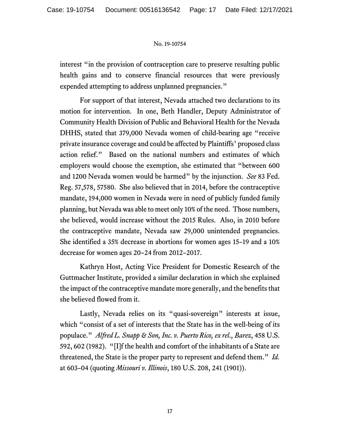interest "in the provision of contraception care to preserve resulting public health gains and to conserve financial resources that were previously expended attempting to address unplanned pregnancies."

For support of that interest, Nevada attached two declarations to its motion for intervention. In one, Beth Handler, Deputy Administrator of Community Health Division of Public and Behavioral Health for the Nevada DHHS, stated that 379,000 Nevada women of child-bearing age "receive private insurance coverage and could be affected by Plaintiffs' proposed class action relief." Based on the national numbers and estimates of which employers would choose the exemption, she estimated that "between 600 and 1200 Nevada women would be harmed" by the injunction. *See* 83 Fed. Reg. 57,578, 57580. She also believed that in 2014, before the contraceptive mandate, 194,000 women in Nevada were in need of publicly funded family planning, but Nevada was able to meet only 10% of the need. Those numbers, she believed, would increase without the 2015 Rules. Also, in 2010 before the contraceptive mandate, Nevada saw 29,000 unintended pregnancies. She identified a 35% decrease in abortions for women ages 15–19 and a 10% decrease for women ages 20–24 from 2012–2017.

Kathryn Host, Acting Vice President for Domestic Research of the Guttmacher Institute, provided a similar declaration in which she explained the impact of the contraceptive mandate more generally, and the benefits that she believed flowed from it.

Lastly, Nevada relies on its "quasi-sovereign" interests at issue, which "consist of a set of interests that the State has in the well-being of its populace." *Alfred L. Snapp & Son, Inc. v. Puerto Rico, ex rel., Barez*, 458 U.S. 592, 602 (1982). "[I]f the health and comfort of the inhabitants of a State are threatened, the State is the proper party to represent and defend them." *Id.* at 603–04 (quoting *Missouri v. Illinois*, 180 U.S. 208, 241 (1901)).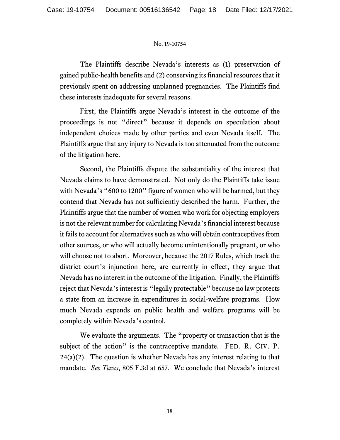The Plaintiffs describe Nevada's interests as (1) preservation of gained public-health benefits and (2) conserving its financial resources that it previously spent on addressing unplanned pregnancies. The Plaintiffs find these interests inadequate for several reasons.

First, the Plaintiffs argue Nevada's interest in the outcome of the proceedings is not "direct" because it depends on speculation about independent choices made by other parties and even Nevada itself. The Plaintiffs argue that any injury to Nevada is too attenuated from the outcome of the litigation here.

Second, the Plaintiffs dispute the substantiality of the interest that Nevada claims to have demonstrated. Not only do the Plaintiffs take issue with Nevada's "600 to 1200" figure of women who will be harmed, but they contend that Nevada has not sufficiently described the harm. Further, the Plaintiffs argue that the number of women who work for objecting employers is not the relevant number for calculating Nevada's financial interest because it fails to account for alternatives such as who will obtain contraceptives from other sources, or who will actually become unintentionally pregnant, or who will choose not to abort. Moreover, because the 2017 Rules, which track the district court's injunction here, are currently in effect, they argue that Nevada has no interest in the outcome of the litigation. Finally, the Plaintiffs reject that Nevada's interest is "legally protectable" because no law protects a state from an increase in expenditures in social-welfare programs. How much Nevada expends on public health and welfare programs will be completely within Nevada's control.

We evaluate the arguments. The "property or transaction that is the subject of the action" is the contraceptive mandate. FED. R. CIV. P.  $24(a)(2)$ . The question is whether Nevada has any interest relating to that mandate. *See Texas*, 805 F.3d at 657. We conclude that Nevada's interest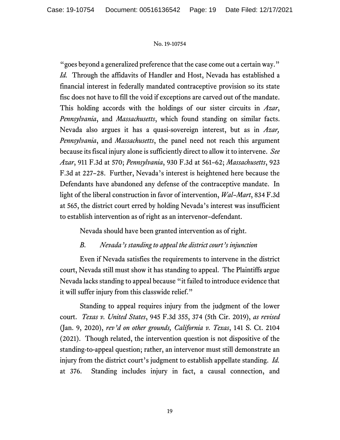"goes beyond a generalized preference that the case come out a certain way." *Id.* Through the affidavits of Handler and Host, Nevada has established a financial interest in federally mandated contraceptive provision so its state fisc does not have to fill the void if exceptions are carved out of the mandate. This holding accords with the holdings of our sister circuits in *Azar*, *Pennsylvania*, and *Massachusetts*, which found standing on similar facts. Nevada also argues it has a quasi-sovereign interest, but as in *Azar, Pennsylvania*, and *Massachusetts*, the panel need not reach this argument because its fiscal injury alone is sufficiently direct to allow it to intervene. *See Azar*, 911 F.3d at 570; *Pennsylvania*, 930 F.3d at 561–62; *Massachusetts*, 923 F.3d at 227–28. Further, Nevada's interest is heightened here because the Defendants have abandoned any defense of the contraceptive mandate. In light of the liberal construction in favor of intervention, *Wal–Mart*, 834 F.3d at 565, the district court erred by holding Nevada's interest was insufficient to establish intervention as of right as an intervenor–defendant.

Nevada should have been granted intervention as of right.

# *B. Nevada's standing to appeal the district court's injunction*

Even if Nevada satisfies the requirements to intervene in the district court, Nevada still must show it has standing to appeal. The Plaintiffs argue Nevada lacks standing to appeal because "it failed to introduce evidence that it will suffer injury from this classwide relief."

Standing to appeal requires injury from the judgment of the lower court. *Texas v. United States*, 945 F.3d 355, 374 (5th Cir. 2019), *as revised* (Jan. 9, 2020), *rev'd on other grounds, California v. Texas*, 141 S. Ct. 2104 (2021). Though related, the intervention question is not dispositive of the standing-to-appeal question; rather, an intervenor must still demonstrate an injury from the district court's judgment to establish appellate standing. *Id.* at 376. Standing includes injury in fact, a causal connection, and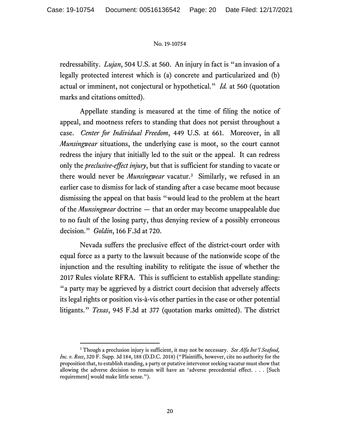redressability. *Lujan*, 504 U.S. at 560. An injury in fact is "an invasion of a legally protected interest which is (a) concrete and particularized and (b) actual or imminent, not conjectural or hypothetical." *Id.* at 560 (quotation marks and citations omitted).

Appellate standing is measured at the time of filing the notice of appeal, and mootness refers to standing that does not persist throughout a case. *Center for Individual Freedom*, 449 U.S. at 661. Moreover, in all *Munsingwear* situations, the underlying case is moot, so the court cannot redress the injury that initially led to the suit or the appeal. It can redress only the *preclusive-effect injury*, but that is sufficient for standing to vacate or there would never be *Munsingwear* vacatur.[3](#page-19-0) Similarly, we refused in an earlier case to dismiss for lack of standing after a case became moot because dismissing the appeal on that basis "would lead to the problem at the heart of the *Munsingwear* doctrine — that an order may become unappealable due to no fault of the losing party, thus denying review of a possibly erroneous decision." *Goldin*, 166 F.3d at 720.

Nevada suffers the preclusive effect of the district-court order with equal force as a party to the lawsuit because of the nationwide scope of the injunction and the resulting inability to relitigate the issue of whether the 2017 Rules violate RFRA. This is sufficient to establish appellate standing: "a party may be aggrieved by a district court decision that adversely affects its legal rights or position vis-à-vis other parties in the case or other potential litigants." *Texas*, 945 F.3d at 377 (quotation marks omitted). The district

<span id="page-19-0"></span><sup>3</sup> Though a preclusion injury is sufficient, it may not be necessary. *See Alfa Int'l Seafood, Inc. v. Ross*, 320 F. Supp. 3d 184, 188 (D.D.C. 2018) ("Plaintiffs, however, cite no authority for the proposition that, to establish standing, a party or putative intervenor seeking vacatur must show that allowing the adverse decision to remain will have an 'adverse precedential effect. . . . [Such requirement] would make little sense.").